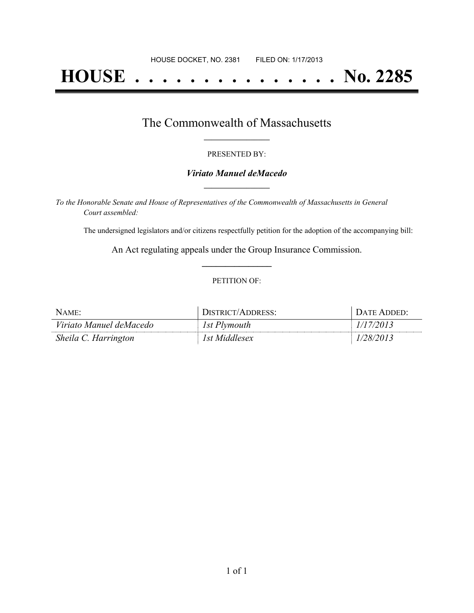# **HOUSE . . . . . . . . . . . . . . . No. 2285**

## The Commonwealth of Massachusetts **\_\_\_\_\_\_\_\_\_\_\_\_\_\_\_\_\_**

#### PRESENTED BY:

#### *Viriato Manuel deMacedo* **\_\_\_\_\_\_\_\_\_\_\_\_\_\_\_\_\_**

*To the Honorable Senate and House of Representatives of the Commonwealth of Massachusetts in General Court assembled:*

The undersigned legislators and/or citizens respectfully petition for the adoption of the accompanying bill:

An Act regulating appeals under the Group Insurance Commission. **\_\_\_\_\_\_\_\_\_\_\_\_\_\_\_**

#### PETITION OF:

| $N$ AME:                | DISTRICT/ADDRESS: | . Date Added: |
|-------------------------|-------------------|---------------|
| Viriato Manuel deMacedo | 1st Plymouth      | 1/17/2013     |
| Sheila C. Harrington    | 1st Middlesex     | 1/28/2013     |